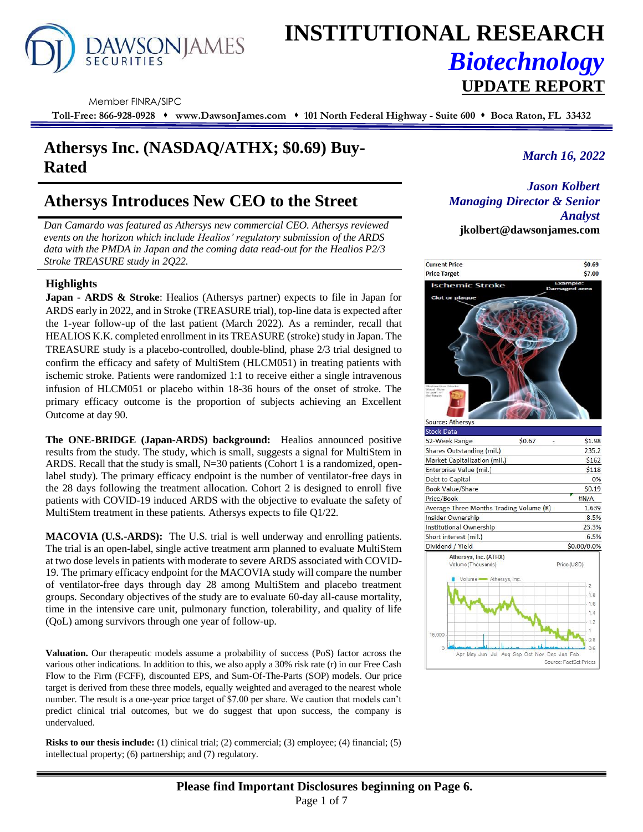

# **INSTITUTIONAL RESEARCH** *Biotechnology* **UPDATE REPORT**

Member FINRA/SIPC

**Toll-Free: 866-928-0928** ⬧ **www.DawsonJames.com** ⬧ **101 North Federal Highway - Suite 600** ⬧ **Boca Raton, FL 33432**

## *March 16, 2022* **Athersys Inc. (NASDAQ/ATHX; \$0.69) Buy-Rated**

### **Athersys Introduces New CEO to the Street**

*Dan Camardo was featured as Athersys new commercial CEO. Athersys reviewed events on the horizon which include Healios' regulatory submission of the ARDS data with the PMDA in Japan and the coming data read-out for the Healios P2/3 Stroke TREASURE study in 2Q22.* 

#### **Highlights**

**Japan - ARDS & Stroke**: Healios (Athersys partner) expects to file in Japan for ARDS early in 2022, and in Stroke (TREASURE trial), top-line data is expected after the 1-year follow-up of the last patient (March 2022). As a reminder, recall that HEALIOS K.K. completed enrollment in its TREASURE (stroke) study in Japan. The TREASURE study is a placebo-controlled, double-blind, phase 2/3 trial designed to confirm the efficacy and safety of MultiStem (HLCM051) in treating patients with ischemic stroke. Patients were randomized 1:1 to receive either a single intravenous infusion of HLCM051 or placebo within 18-36 hours of the onset of stroke. The primary efficacy outcome is the proportion of subjects achieving an Excellent Outcome at day 90.

**The ONE-BRIDGE (Japan-ARDS) background:** Healios announced positive results from the study. The study, which is small, suggests a signal for MultiStem in ARDS. Recall that the study is small, N=30 patients (Cohort 1 is a randomized, openlabel study). The primary efficacy endpoint is the number of ventilator-free days in the 28 days following the treatment allocation. Cohort 2 is designed to enroll five patients with COVID-19 induced ARDS with the objective to evaluate the safety of MultiStem treatment in these patients. Athersys expects to file Q1/22.

**MACOVIA (U.S.-ARDS):** The U.S. trial is well underway and enrolling patients. The trial is an open-label, single active treatment arm planned to evaluate MultiStem at two dose levels in patients with moderate to severe ARDS associated with COVID-19. The primary efficacy endpoint for the MACOVIA study will compare the number of ventilator-free days through day 28 among MultiStem and placebo treatment groups. Secondary objectives of the study are to evaluate 60-day all-cause mortality, time in the intensive care unit, pulmonary function, tolerability, and quality of life (QoL) among survivors through one year of follow-up.

**Valuation.** Our therapeutic models assume a probability of success (PoS) factor across the various other indications. In addition to this, we also apply a 30% risk rate (r) in our Free Cash Flow to the Firm (FCFF), discounted EPS, and Sum-Of-The-Parts (SOP) models. Our price target is derived from these three models, equally weighted and averaged to the nearest whole number. The result is a one-year price target of \$7.00 per share. We caution that models can't predict clinical trial outcomes, but we do suggest that upon success, the company is undervalued.

**Risks to our thesis include:** (1) clinical trial; (2) commercial; (3) employee; (4) financial; (5) intellectual property; (6) partnership; and (7) regulatory.

*Jason Kolbert Managing Director & Senior Analyst* **jkolbert@dawsonjames.com**

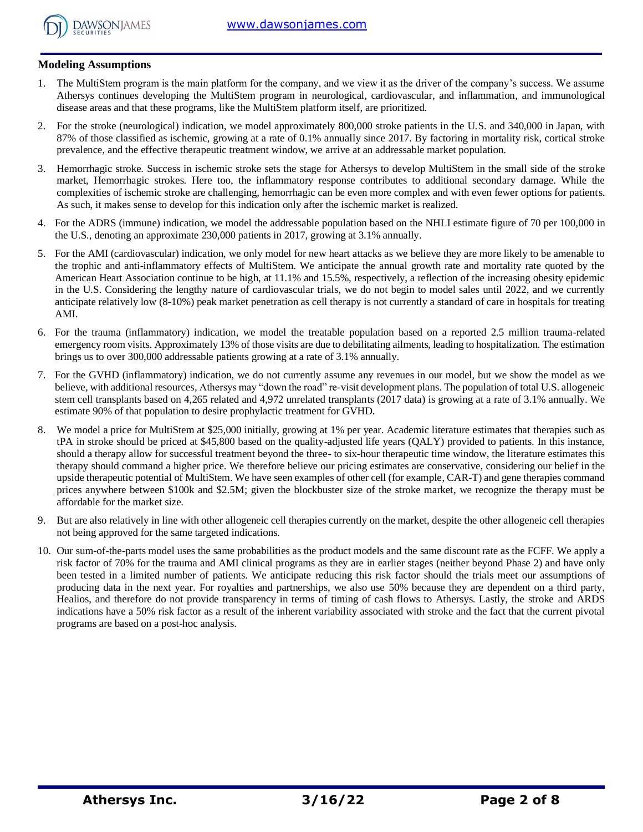

### **Modeling Assumptions**

- 1. The MultiStem program is the main platform for the company, and we view it as the driver of the company's success. We assume Athersys continues developing the MultiStem program in neurological, cardiovascular, and inflammation, and immunological disease areas and that these programs, like the MultiStem platform itself, are prioritized.
- 2. For the stroke (neurological) indication, we model approximately 800,000 stroke patients in the U.S. and 340,000 in Japan, with 87% of those classified as ischemic, growing at a rate of 0.1% annually since 2017. By factoring in mortality risk, cortical stroke prevalence, and the effective therapeutic treatment window, we arrive at an addressable market population.
- 3. Hemorrhagic stroke. Success in ischemic stroke sets the stage for Athersys to develop MultiStem in the small side of the stroke market, Hemorrhagic strokes. Here too, the inflammatory response contributes to additional secondary damage. While the complexities of ischemic stroke are challenging, hemorrhagic can be even more complex and with even fewer options for patients. As such, it makes sense to develop for this indication only after the ischemic market is realized.
- 4. For the ADRS (immune) indication, we model the addressable population based on the NHLI estimate figure of 70 per 100,000 in the U.S., denoting an approximate 230,000 patients in 2017, growing at 3.1% annually.
- 5. For the AMI (cardiovascular) indication, we only model for new heart attacks as we believe they are more likely to be amenable to the trophic and anti-inflammatory effects of MultiStem. We anticipate the annual growth rate and mortality rate quoted by the American Heart Association continue to be high, at 11.1% and 15.5%, respectively, a reflection of the increasing obesity epidemic in the U.S. Considering the lengthy nature of cardiovascular trials, we do not begin to model sales until 2022, and we currently anticipate relatively low (8-10%) peak market penetration as cell therapy is not currently a standard of care in hospitals for treating AMI.
- 6. For the trauma (inflammatory) indication, we model the treatable population based on a reported 2.5 million trauma-related emergency room visits. Approximately 13% of those visits are due to debilitating ailments, leading to hospitalization. The estimation brings us to over 300,000 addressable patients growing at a rate of 3.1% annually.
- 7. For the GVHD (inflammatory) indication, we do not currently assume any revenues in our model, but we show the model as we believe, with additional resources, Athersys may "down the road" re-visit development plans. The population of total U.S. allogeneic stem cell transplants based on 4,265 related and 4,972 unrelated transplants (2017 data) is growing at a rate of 3.1% annually. We estimate 90% of that population to desire prophylactic treatment for GVHD.
- 8. We model a price for MultiStem at \$25,000 initially, growing at 1% per year. Academic literature estimates that therapies such as tPA in stroke should be priced at \$45,800 based on the quality-adjusted life years (QALY) provided to patients. In this instance, should a therapy allow for successful treatment beyond the three- to six-hour therapeutic time window, the literature estimates this therapy should command a higher price. We therefore believe our pricing estimates are conservative, considering our belief in the upside therapeutic potential of MultiStem. We have seen examples of other cell (for example, CAR-T) and gene therapies command prices anywhere between \$100k and \$2.5M; given the blockbuster size of the stroke market, we recognize the therapy must be affordable for the market size.
- 9. But are also relatively in line with other allogeneic cell therapies currently on the market, despite the other allogeneic cell therapies not being approved for the same targeted indications.
- 10. Our sum-of-the-parts model uses the same probabilities as the product models and the same discount rate as the FCFF. We apply a risk factor of 70% for the trauma and AMI clinical programs as they are in earlier stages (neither beyond Phase 2) and have only been tested in a limited number of patients. We anticipate reducing this risk factor should the trials meet our assumptions of producing data in the next year. For royalties and partnerships, we also use 50% because they are dependent on a third party, Healios, and therefore do not provide transparency in terms of timing of cash flows to Athersys. Lastly, the stroke and ARDS indications have a 50% risk factor as a result of the inherent variability associated with stroke and the fact that the current pivotal programs are based on a post-hoc analysis.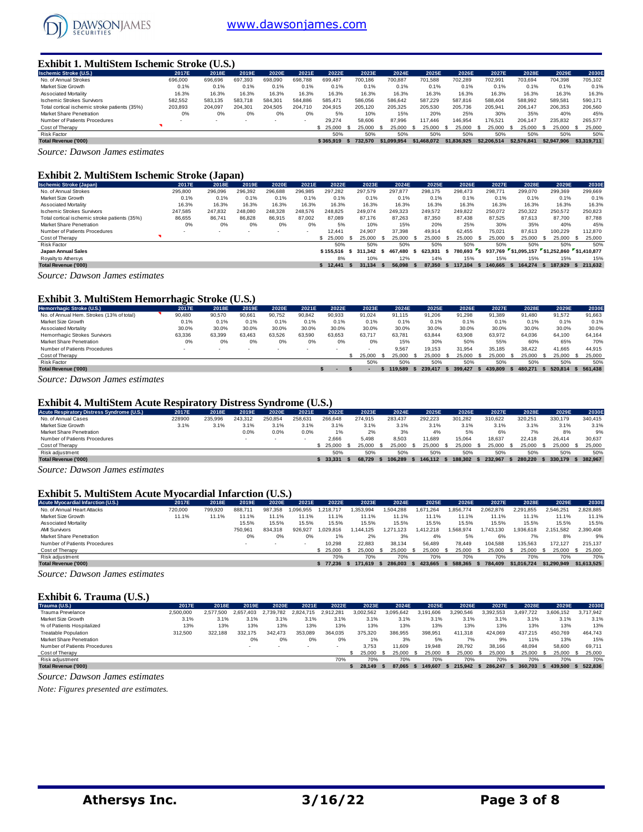

### **Exhibit 1. MultiStem Ischemic Stroke (U.S.)**

| <b>Ischemic Stroke (U.S.)</b>                 | 2017E   | 2018E   | 2019E   | 2020E   | 2021E                    | 2022E     | 2023E   | 2024E       | 2025E       | 2026E       | 2027E       | 2028E       | 2029E       | 2030E         |
|-----------------------------------------------|---------|---------|---------|---------|--------------------------|-----------|---------|-------------|-------------|-------------|-------------|-------------|-------------|---------------|
| No. of Annual Strokes                         | 696,000 | 696,696 | 697.393 | 698,090 | 698.788                  | 699.487   | 700.186 | 700.887     | 701.588     | 702.289     | 702.991     | 703.694     | 704.398     | 705.102       |
| Market Size Growth                            | 0.1%    | 0.1%    | 0.1%    | 0.1%    | 0.1%                     | 0.1%      | 0.1%    | 0.1%        | 0.1%        | 0.1%        | 0.1%        | 0.1%        | 0.1%        | 0.1%          |
| Associated Mortality                          | 16.3%   | 16.3%   | 16.3%   | 16.3%   | 16.3%                    | 16.3%     | 16.3%   | 16.3%       | 16.3%       | 16.3%       | 16.3%       | 16.3%       | 16.3%       | 16.3%         |
| <b>Ischemic Strokes Survivors</b>             | 582.552 | 583.135 | 583.718 | 584.301 | 584.886                  | 585.471   | 586.056 | 586.642     | 587.229     | 587.816     | 588.404     | 588.992     | 589.581     | 590.171       |
| Total cortical ischemic stroke patients (35%) | 203.893 | 204.097 | 204.301 | 204.505 | 204.710                  | 204.915   | 205.120 | 205.325     | 205.530     | 205.736     | 205.941     | 206,147     | 206.353     | 206,560       |
| Market Share Penetration                      | 0%      | 0%      | 0%      | 0%      | 0%                       | 5%        | 10%     | 15%         | 20%         | 25%         | 30%         | 35%         | 40%         | 45%           |
| Number of Patients Procedures                 |         |         |         | ۰.      | $\overline{\phantom{a}}$ | 29.274    | 58,606  | 87.996      | 117,446     | 146.954     | 176.521     | 206.147     | 235.832     | 265.577       |
| Cost of Therapy                               |         |         |         |         |                          | \$ 25,000 | 25,000  | 25.000      | 25.000      | 25,000      | 25.000      | 25,000      | 25.000      | 25,000<br>- S |
| <b>Risk Factor</b>                            |         |         |         |         |                          | 50%       | 50%     | 50%         | 50%         | 50%         | 50%         | 50%         | 50%         | 50%           |
| <b>Total Revenue ('000)</b>                   |         |         |         |         |                          | \$365,919 | 732.570 | \$1.099.954 | \$1,468,072 | \$1,836,925 | \$2,206,514 | \$2,576,841 | \$2,947,906 | \$3,319,711   |
| $\sim$<br>$\sim$                              |         |         |         |         |                          |           |         |             |             |             |             |             |             |               |

*Source: Dawson James estimates*

#### **Exhibit 2. MultiStem Ischemic Stroke (Japan)**

| <b>Ischemic Stroke (Japan)</b>                | 2017E   | 2018E   | 2019E   | 2020E   | 2021E                    | 2022E     | 2023E   |      | 2024E   | 2025E   |      | 2026E     |      | 2027E   |      | 2028E                                       |      | 2029E     | 2030E      |
|-----------------------------------------------|---------|---------|---------|---------|--------------------------|-----------|---------|------|---------|---------|------|-----------|------|---------|------|---------------------------------------------|------|-----------|------------|
| No. of Annual Strokes                         | 295.800 | 296.096 | 296.392 | 296.688 | 296.985                  | 297.282   | 297,579 |      | 297.877 | 298.175 |      | 298.473   |      | 298,771 |      | 299,070                                     |      | 299.369   | 299.669    |
| Market Size Growth                            | 0.1%    | 0.1%    | 0.1%    | 0.1%    | 0.1%                     | 0.1%      | 0.1%    |      | 0.1%    | 0.1%    |      | 0.1%      |      | 0.1%    |      | 0.1%                                        |      | 0.1%      | 0.1%       |
| Associated Mortality                          | 16.3%   | 16.3%   | 16.3%   | 16.3%   | 16.3%                    | 16.3%     | 16.3%   |      | 16.3%   | 16.3%   |      | 16.3%     |      | 16.3%   |      | 16.3%                                       |      | 16.3%     | 16.3%      |
| <b>Ischemic Strokes Survivors</b>             | 247,585 | 247.832 | 248.080 | 248.328 | 248,576                  | 248.825   | 249,074 |      | 249,323 | 249.572 |      | 249,822   |      | 250,072 |      | 250,322                                     |      | 250,572   | 250,823    |
| Total cortical ischemic stroke patients (35%) | 86,655  | 86.741  | 86.828  | 86.915  | 87.002                   | 87.089    | 87.176  |      | 87.263  | 87.350  |      | 87.438    |      | 87.525  |      | 87.613                                      |      | 87.700    | 87.788     |
| Market Share Penetration                      | 0%      | 0%      | 0%      | 0%      | 0%                       | 5%        | 10%     |      | 15%     | 20%     |      | 25%       |      | 30%     |      | 35%                                         |      | 40%       | 45%        |
| Number of Patients Procedures                 |         |         | ۰       | $\sim$  | $\overline{\phantom{a}}$ | 12.441    | 24.907  |      | 37.398  | 49.914  |      | 62.455    |      | 75.021  |      | 87.613                                      |      | 100.229   | 112,870    |
| Cost of Therapy                               |         |         |         |         |                          | \$25.000  | 25.000  | - 55 | 25.000  | 25,000  |      | 25,000    |      | 25.000  | - 55 | 25.000                                      | - 55 | 25,000 \$ | 25,000     |
| <b>Risk Factor</b>                            |         |         |         |         |                          | 50%       | 50%     |      | 50%     | 50%     |      | 50%       |      | 50%     |      | 50%                                         |      | 50%       | 50%        |
| Japan Annual Sales                            |         |         |         |         |                          | \$155.516 | 311.342 | - S  | 467.480 | 623.931 |      | 780.693 S |      |         |      | 937.769 \$1.095.157 \$1.252.860 \$1.410.877 |      |           |            |
| Royalty to Athersys                           |         |         |         |         |                          | 8%        | 10%     |      | 12%     | 14%     |      | 15%       |      | 15%     |      | 15%                                         |      | 15%       | 15%        |
| <b>Total Revenue ('000)</b>                   |         |         |         |         |                          | \$12.441  | 31.134  | - 5  | 56.098  | 87.350  | - 55 | 117.104   | - 55 | 140.665 | - 55 | 164.274 \$                                  |      | 187.929   | \$ 211,632 |
| Counsei Davison James estimates               |         |         |         |         |                          |           |         |      |         |         |      |           |      |         |      |                                             |      |           |            |

*Source: Dawson James estimates*

#### **Exhibit 3. MultiStem Hemorrhagic Stroke (U.S.)**

| Hemorrhagic Stroke (U.S.)                 | 2017E                    | 2018E  | 2019E  | 2020E                    | 2021E  | 2022E  | 2023E  | 2024E  |      | 2025E   | 2026E   | 2027E   | 2028E   | 2029E   |      | 2030E   |
|-------------------------------------------|--------------------------|--------|--------|--------------------------|--------|--------|--------|--------|------|---------|---------|---------|---------|---------|------|---------|
| No. of Annual Hem. Strokes (13% of total) | 90.480                   | 90.570 | 90.661 | 90,752                   | 90,842 | 90,933 | 91.024 | 91.115 |      | 91.206  | 91.298  | 91.389  | 91.480  | 91.572  |      | 91,663  |
| Market Size Growth                        | 0.1%                     | 0.1%   | 0.1%   | 0.1%                     | 0.1%   | 0.1%   | 0.1%   |        | 0.1% | 0.1%    | 0.1%    | 0.1%    | 0.1%    | 0.1%    |      | 0.1%    |
| Associated Mortality                      | 30.0%                    | 30.0%  | 30.0%  | 30.0%                    | 30.0%  | 30.0%  | 30.0%  | 30.0%  |      | 30.0%   | 30.0%   | 30.0%   | 30.0%   | 30.0%   |      | 30.0%   |
| Hemorrhagic Strokes Survivors             | 63.336                   | 63.399 | 63.463 | 63.526                   | 63.590 | 63.653 | 63.717 | 63.781 |      | 63.844  | 63.908  | 63.972  | 64.036  | 64.100  |      | 64.164  |
| <b>Market Share Penetration</b>           | 0%                       | 0%     | 0%     | 0%                       | 0%     | 0%     | 0%     |        | 15%  | 30%     | 50%     | 55%     | 60%     | 65%     |      | 70%     |
| Number of Patients Procedures             | $\overline{\phantom{a}}$ |        | . .    | $\overline{\phantom{a}}$ | $\sim$ | $\sim$ |        | 9.567  |      | 19.153  | 31.954  | 35,185  | 38.422  | 41.665  |      | 44.915  |
| Cost of Therapy                           |                          |        |        |                          |        |        | 25.000 | 25.000 |      | 25.000  | 25.000  | 25.000  | 25.000  | 25,000  | - 55 | 25,000  |
| Risk Factor                               |                          |        |        |                          |        |        | 50%    |        | 50%  | 50%     | 50%     | 50%     | 50%     | 50%     |      | 50%     |
| <b>Total Revenue ('000)</b>               |                          |        |        |                          |        |        |        | 19.589 |      | 239,417 | 399.427 | 439.809 | 480.271 | 520.814 |      | 561.438 |
|                                           |                          |        |        |                          |        |        |        |        |      |         |         |         |         |         |      |         |

*Source: Dawson James estimates*

#### **Exhibit 4. MultiStem Acute Respiratory Distress Syndrome (U.S.)**

| Acute Respiratory Distress Syndrome (U.S.) | 2017E  | 2018E   | 2019E   | 2020E   | 2021E  | 2022E   | 2023E   | 2024E   | 2025E   | 2026E   | 2027E   | 2028E   | 2029E   | 2030E   |    |
|--------------------------------------------|--------|---------|---------|---------|--------|---------|---------|---------|---------|---------|---------|---------|---------|---------|----|
| No. of Annual Cases                        | 228900 | 235.996 | 243.312 | 250.854 | 258.63 | 266,648 | 274.915 | 283.437 | 292.223 | 301.282 | 310.622 | 320.251 | 330,179 | 340.415 |    |
| Market Size Growth                         | 3.1%   | 3.1%    | 3.1%    | 3.1%    | 3.1%   | 3.1%    | 3.1%    | 3.1%    | 3.1%    | 3.1%    | 3.1%    | 3.1%    | 3.1%    | 3.1%    |    |
| Market Share Penetration                   |        |         | 0.0%    | 0.0%    | 0.0%   | 1%      | 2%      | 3%      | 4%      | 5%      | 6%      | 7%      | 8%      |         | 9% |
| Number of Patients Procedures              |        |         |         |         |        | 2.666   | 5.498   | 8.503   | 1.689   | 15,064  | 18.637  | 22.418  | 26.414  | 30.637  |    |
| Cost of Therapy                            |        |         |         |         |        | 25.000  | 25,000  | 25,000  | 25.000  | 25,000  | 25.000  | 25,000  | 25.000  | 25,000  |    |
| Risk adjustment                            |        |         |         |         |        | 50%     | 50%     | 50%     | 50%     | 50%     | 50%     | 50%     | 50%     | 50%     |    |
| <b>Total Revenue ('000)</b>                |        |         |         |         |        | 33.331  | 68.729  | 06.289  | 146.112 | 188.302 | 232.967 | 280.220 | 330.179 | 382.967 |    |
|                                            |        |         |         |         |        |         |         |         |         |         |         |         |         |         |    |

*Source: Dawson James estimates*

#### **Exhibit 5. MultiStem Acute Myocardial Infarction (U.S.)**

| <b>Acute Myocardial Infarction (U.S.)</b> | 2017E   | 2018E   | 2019E                    | 2020E                    | 2021E    | 2022E           | 2023E    | 2024E     | 2025E         | 2026E    | 2027E     | 2028E       | 2029E       | 2030E       |
|-------------------------------------------|---------|---------|--------------------------|--------------------------|----------|-----------------|----------|-----------|---------------|----------|-----------|-------------|-------------|-------------|
| No. of Annual Heart Attacks               | 720,000 | 799,920 | 888.71                   | 987.358                  | .096.955 | .218.717        | .353.994 | 1.504.288 | 1.671.264     | .856.774 | 2.062.876 | 2.291.855   | 2.546.251   | 2.828.885   |
| Market Size Growth                        | 11.1%   | 11.1%   | 1.1%                     | 11.1%                    |          | $1.1\%$         | 11.1%    | 11.1%     | 11.1%         | 1.1%     | 11.1%     | 11.1%       | 11.1%       | 11.1%       |
| Associated Mortality                      |         |         | 15.5%                    | 15.5%                    | 15.5%    | 15.5%           | 15.5%    | 15.5%     | 15.5%         | 15.5%    | 15.5%     | 15.5%       | 15.5%       | 15.5%       |
| <b>AMI Survivors</b>                      |         |         | 750.961                  | 834.318                  | 926.927  | .029.816        | 144.125  | 1.271.123 | 1.412.218     | .568.974 | .743.130  | 1.936.618   | 2.151.582   | 2.390.408   |
| Market Share Penetration                  |         |         | 0%                       | 0%                       | 0%       |                 | 2%       | 3%        | 4%            | 5%       | 6%        | 7%          | 8%          | 9%          |
| Number of Patients Procedures             |         |         | $\overline{\phantom{a}}$ | $\overline{\phantom{a}}$ |          | 10.298          | 22.883   | 38.134    | 56.489        | 78.449   | 104.588   | 135.563     | 172.127     | 215.137     |
| Cost of Therapy                           |         |         |                          |                          |          | \$ 25,000       | 25.000   | 25,000    | 25,000<br>- 9 | 25.000   | 25,000    | 25.000      | 25.000      | 25,000      |
| Risk adjustment                           |         |         |                          |                          |          | 70%             | 70%      | 70%       | 70%           | 70%      | 70%       | 70%         | 70%         | 70%         |
| <b>Total Revenue ('000)</b>               |         |         |                          |                          |          | $5\quad 77.236$ | 171.619  | 286,003   | 423.665       | 588.365  | 784.409   | \$1,016,724 | \$1.290.949 | \$1,613,525 |

*Source: Dawson James estimates*

#### **Exhibit 6. Trauma (U.S.)**

| Trauma (U.S.)                   | 2017E     | 2018E          | 2019E         | 2020E   | 2021E         | 2022E     | 2023E     | 2024E     | 2025E     | 2026E     | 2027E     | 2028E     | 2029E     | 2030E     |
|---------------------------------|-----------|----------------|---------------|---------|---------------|-----------|-----------|-----------|-----------|-----------|-----------|-----------|-----------|-----------|
| Trauma Prevelance               | 2,500,000 | 2.577.<br>.500 | 2.657<br>'403 | .782    | 2.824<br>.715 | 2.912.281 | 3.002.562 | 3.095.642 | 3.191.606 | 3.290.546 | 3.392.553 | 3.497.722 | 3.606.152 | 3.717.942 |
| Market Size Growth              | 3.1%      | 3.1%           | 3.1%          | 3.1%    | 3.1%          | 3.1%      | 3.1%      | 3.1%      | 3.1%      | 3.1%      | 3.1%      | 3.1%      | 3.1%      | 3.1%      |
| % of Patients Hospitalized      | 13%       | 13%            | 13%           | 13%     | 13%           | 13%       | 13%       | 13%       | 13%       | 13%       | 13%       | 13%       | 13%       | 13%       |
| <b>Treatable Population</b>     | 312,500   | 322.188        | 332.175       | 342.473 | 353.089       | 364.035   | 375,320   | 386.955   | 398.951   | 411.318   | 424.069   | 437.215   | 450.769   | 464.743   |
| <b>Market Share Penetration</b> |           |                | 0%            | 0%      | 0%            | $0\%$     | $1\%$     | 3%        | 5%        | 7%        | 9%        | 11%       | 13%       | 15%       |
| Number of Patients Procedures   |           |                |               |         |               |           | 3.753     | 11.609    | 19,948    | 28.792    | 38.166    | 48.094    | 58,600    | 69.711    |
| Cost of Therapy                 |           |                |               |         |               |           | 25,000    | 25,000    | 25.000    | 25.000    | 25,000    | 25.000    | 25,000 \$ | 25.000    |
| Risk adjustment                 |           |                |               |         |               | 70%       | 70%       | 70%       | 70%       | 70%       | 70%       | 70%       | 70%       | 70%       |
| Total Revenue ('000)            |           |                |               |         |               |           | 28.149    | 87.065    | 149.607   | 215.942   | 286,247   | 360.703   | 439.500   | 522.836   |

*Source: Dawson James estimates*

*Note: Figures presented are estimates.*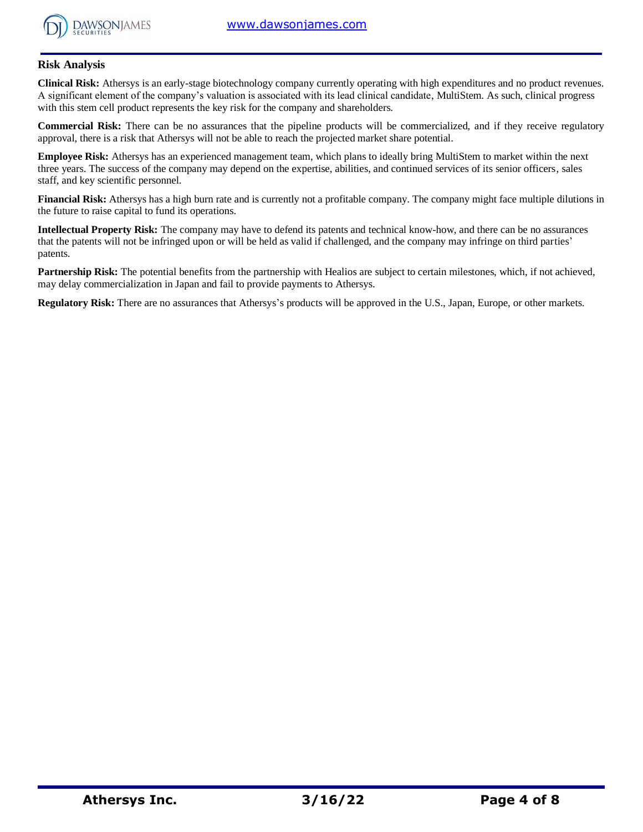

### **Risk Analysis**

**Clinical Risk:** Athersys is an early-stage biotechnology company currently operating with high expenditures and no product revenues. A significant element of the company's valuation is associated with its lead clinical candidate, MultiStem. As such, clinical progress with this stem cell product represents the key risk for the company and shareholders.

**Commercial Risk:** There can be no assurances that the pipeline products will be commercialized, and if they receive regulatory approval, there is a risk that Athersys will not be able to reach the projected market share potential.

**Employee Risk:** Athersys has an experienced management team, which plans to ideally bring MultiStem to market within the next three years. The success of the company may depend on the expertise, abilities, and continued services of its senior officers, sales staff, and key scientific personnel.

**Financial Risk:** Athersys has a high burn rate and is currently not a profitable company. The company might face multiple dilutions in the future to raise capital to fund its operations.

**Intellectual Property Risk:** The company may have to defend its patents and technical know-how, and there can be no assurances that the patents will not be infringed upon or will be held as valid if challenged, and the company may infringe on third parties' patents.

**Partnership Risk:** The potential benefits from the partnership with Healios are subject to certain milestones, which, if not achieved, may delay commercialization in Japan and fail to provide payments to Athersys.

**Regulatory Risk:** There are no assurances that Athersys's products will be approved in the U.S., Japan, Europe, or other markets.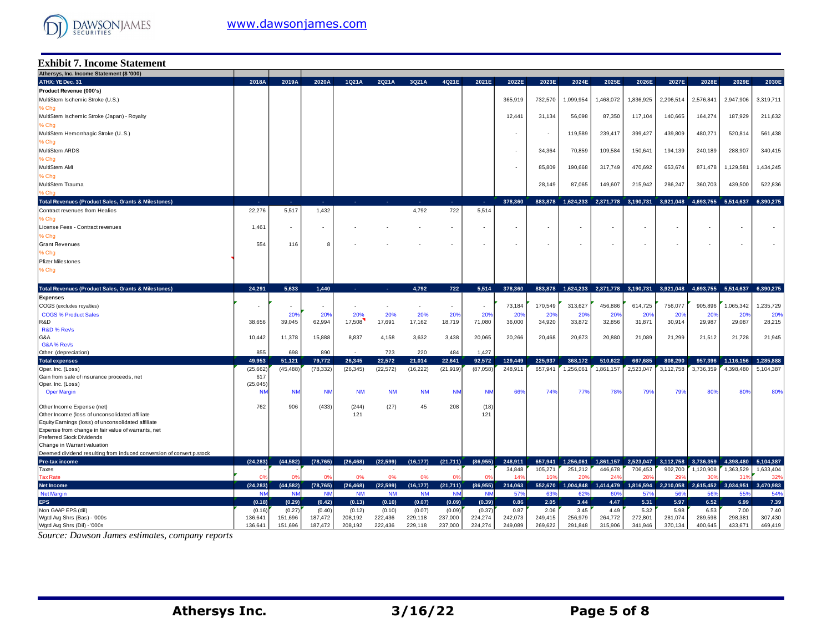

### **Exhibit 7. Income Statement**

| Athersys, Inc. Income Statement (\$ '000)                            |                |                          |                          |           |           |                          |                          |                |                 |                 |                          |              |                     |           |           |                                         |                 |
|----------------------------------------------------------------------|----------------|--------------------------|--------------------------|-----------|-----------|--------------------------|--------------------------|----------------|-----------------|-----------------|--------------------------|--------------|---------------------|-----------|-----------|-----------------------------------------|-----------------|
| ATHX: YE Dec. 31                                                     | 2018A          | 2019A                    | 2020A                    | 1Q21A     | 2Q21A     | 3Q21A                    | 4Q21E                    | 2021E          | 2022E           | 2023E           | 2024E                    | 2025E        | 2026E               | 2027E     | 2028E     | 2029E                                   | 2030E           |
| Product Revenue (000's)                                              |                |                          |                          |           |           |                          |                          |                |                 |                 |                          |              |                     |           |           |                                         |                 |
| MultiStem Ischemic Stroke (U.S.)                                     |                |                          |                          |           |           |                          |                          |                | 365,919         | 732,570         | 1,099,954                | 1,468,072    | 1,836,925           | 2,206,514 | 2,576,841 | 2,947,906                               | 3,319,711       |
| % Chg                                                                |                |                          |                          |           |           |                          |                          |                |                 |                 |                          |              |                     |           |           |                                         |                 |
| MultiStem Ischemic Stroke (Japan) - Royalty                          |                |                          |                          |           |           |                          |                          |                | 12,441          | 31,134          | 56,098                   | 87,350       | 117,104             | 140,665   | 164,274   | 187,929                                 | 211,632         |
| % Chg                                                                |                |                          |                          |           |           |                          |                          |                |                 |                 |                          |              |                     |           |           |                                         |                 |
| MultiStem Hemorrhagic Stroke (US.)                                   |                |                          |                          |           |           |                          |                          |                |                 |                 | 119,589                  | 239,417      | 399,427             | 439,809   | 480,271   | 520,814                                 | 561,438         |
| % Chg                                                                |                |                          |                          |           |           |                          |                          |                |                 |                 |                          |              |                     |           |           |                                         |                 |
| MultiStem ARDS                                                       |                |                          |                          |           |           |                          |                          |                |                 | 34,364          | 70,859                   | 109,584      | 150,641             | 194,139   | 240,189   | 288,907                                 | 340,415         |
| % Chg                                                                |                |                          |                          |           |           |                          |                          |                |                 |                 |                          |              |                     |           |           |                                         |                 |
| MultiStem AMI                                                        |                |                          |                          |           |           |                          |                          |                |                 | 85,809          | 190,668                  | 317,749      | 470,692             | 653,674   | 871,478   | 1,129,581                               | 1,434,245       |
| % Chg                                                                |                |                          |                          |           |           |                          |                          |                |                 |                 |                          |              |                     |           |           |                                         |                 |
|                                                                      |                |                          |                          |           |           |                          |                          |                |                 |                 |                          |              |                     |           |           |                                         |                 |
| MultiStem Trauma                                                     |                |                          |                          |           |           |                          |                          |                |                 | 28.149          | 87,065                   | 149,607      | 215,942             | 286,247   | 360,703   | 439,500                                 | 522,836         |
| , Chg                                                                |                |                          |                          |           |           |                          |                          |                |                 |                 |                          |              |                     |           |           |                                         |                 |
| <b>Total Revenues (Product Sales, Grants &amp; Milestones)</b>       | . .            | n.                       | х.                       | ×.        | ×.        | ÷.                       | п.                       | п.             | 378,360         | 883,878         | 1.624.233                | 2,371,778    | 3,190,731           | 3,921,048 | 4,693,755 | 5,514,637                               | 6.390.275       |
| Contract revenues from Healios                                       | 22,276         | 5,517                    | 1,432                    |           |           | 4,792                    | 722                      | 5,514          |                 |                 |                          |              |                     |           |           |                                         |                 |
| % Chg                                                                |                |                          |                          |           |           |                          |                          |                |                 |                 |                          |              |                     |           |           |                                         |                 |
| License Fees - Contract revenues                                     | 1,461          | $\sim$                   | ٠                        |           |           |                          | $\overline{\phantom{a}}$ |                |                 |                 | $\overline{\phantom{a}}$ | ٠            | ٠                   |           |           | $\sim$                                  |                 |
| % Chg                                                                |                |                          |                          |           |           |                          |                          |                |                 |                 |                          |              |                     |           |           |                                         |                 |
| <b>Grant Revenues</b>                                                | 554            | 116                      | 8                        |           |           |                          |                          |                | $\overline{a}$  |                 | $\overline{\phantom{a}}$ | $\sim$       | ٠                   |           |           | $\sim$                                  |                 |
| % Chg                                                                |                |                          |                          |           |           |                          |                          |                |                 |                 |                          |              |                     |           |           |                                         |                 |
| <b>Pfizer Milestones</b>                                             |                |                          |                          |           |           |                          |                          |                |                 |                 |                          |              |                     |           |           |                                         |                 |
| % Chg                                                                |                |                          |                          |           |           |                          |                          |                |                 |                 |                          |              |                     |           |           |                                         |                 |
|                                                                      |                |                          |                          |           |           |                          |                          |                |                 |                 |                          |              |                     |           |           |                                         |                 |
| <b>Total Revenues (Product Sales, Grants &amp; Milestones)</b>       | 24.291         | 5.633                    | 1.440                    | ÷.        | ÷.        | 4,792                    | 722                      | 5,514          | 378,360         | 883,878         | 1,624,233                |              | 2,371,778 3,190,731 |           |           | 3,921,048 4,693,755 5,514,637 6,390,275 |                 |
| <b>Expenses</b>                                                      |                |                          |                          |           |           |                          |                          |                |                 |                 |                          |              |                     |           |           |                                         |                 |
| COGS (excludes royalties)                                            |                | $\overline{\phantom{a}}$ | $\overline{\phantom{a}}$ | ٠         | ٠         | $\overline{\phantom{a}}$ | $\overline{\phantom{a}}$ |                | 73,184          | 170,549         | 313,627                  | 456,886      | 614,725             | 756,077   | 905,896   | 1,065,342                               | 1,235,729       |
| <b>COGS % Product Sales</b>                                          |                | 20 <sup>o</sup>          | 20%                      | 20%       | 20%       | 20%                      | 20%                      | 20%            | 20 <sup>o</sup> | 20 <sup>o</sup> | 20%                      | 20%          | 20%                 | 20%       | 20%       | 20%                                     | 20%             |
| R&D                                                                  | 38,656         | 39,045                   | 62,994                   | 17,508    | 17,691    | 17,162                   | 18,719                   | 71,080         | 36,000          | 34,920          | 33,872                   | 32,856       | 31,871              | 30,914    | 29,987    | 29,087                                  | 28,215          |
| R&D % Revs                                                           |                |                          |                          |           |           |                          |                          |                |                 |                 |                          |              |                     |           |           |                                         |                 |
| G&A                                                                  | 10,442         | 11,378                   | 15,888                   | 8,837     | 4,158     | 3,632                    | 3,438                    | 20,065         | 20,266          | 20,468          | 20,673                   | 20,880       | 21,089              | 21,299    | 21,512    | 21,728                                  | 21,945          |
| G&A% Revs                                                            |                |                          |                          |           |           |                          |                          |                |                 |                 |                          |              |                     |           |           |                                         |                 |
| Other (depreciation)                                                 | 855            | 698                      | 890                      |           | 723       | 220                      | 484                      | 1,427          |                 |                 |                          |              |                     |           |           |                                         |                 |
| <b>Total expenses</b>                                                | 49.953         | 51,121                   | 79,772                   | 26,345    | 22.572    | 21,014                   | 22,641                   | 92,572         | 129,449         | 225.937         | 368,172                  | 510,622      | 667,685             | 808.290   | 957,396   | 1,116,156                               | 1.285.888       |
| Oper. Inc. (Loss)                                                    | (25,662)       | (45,488                  | (78, 332)                | (26, 345) | (22, 572) | (16, 222)                | (21, 919)                | (87, 058)      | 248,911         | 657,941         | 1,256,061                | 1,861,157    | 2,523,047           | 3,112,758 | 3,736,359 | 4,398,480                               | 5,104,387       |
| Gain from sale of insurance proceeds, net                            | 617            |                          |                          |           |           |                          |                          |                |                 |                 |                          |              |                     |           |           |                                         |                 |
| Oper. Inc. (Loss)                                                    | (25, 045)      |                          |                          |           |           |                          |                          |                |                 |                 |                          |              |                     |           |           |                                         |                 |
| <b>Oper Margin</b>                                                   | <b>NN</b>      | <b>NN</b>                | <b>NN</b>                | <b>NM</b> | <b>NM</b> | <b>NM</b>                | <b>NN</b>                | <b>NN</b>      | 66 <sup>°</sup> | 749             | 779                      | 78%          | 79%                 | 79%       | 80%       | 80%                                     | 80%             |
| Other Income Expense (net)                                           | 762            | 906                      | (433)                    | (244)     | (27)      | 45                       | 208                      | (18)           |                 |                 |                          |              |                     |           |           |                                         |                 |
| Other Income (loss of unconsolidated affiliate                       |                |                          |                          | 121       |           |                          |                          | 121            |                 |                 |                          |              |                     |           |           |                                         |                 |
| Equity Earnings (loss) of unconsolidated affiliate                   |                |                          |                          |           |           |                          |                          |                |                 |                 |                          |              |                     |           |           |                                         |                 |
| Expense from change in fair value of warrants, net                   |                |                          |                          |           |           |                          |                          |                |                 |                 |                          |              |                     |           |           |                                         |                 |
| <b>Preferred Stock Dividends</b>                                     |                |                          |                          |           |           |                          |                          |                |                 |                 |                          |              |                     |           |           |                                         |                 |
| Change in Warrant valuation                                          |                |                          |                          |           |           |                          |                          |                |                 |                 |                          |              |                     |           |           |                                         |                 |
| Deemed dividend resulting from induced conversion of convert p.stock |                |                          |                          |           |           |                          |                          |                |                 |                 |                          |              |                     |           |           |                                         |                 |
| Pre-tax income                                                       | (24, 283)      | (44, 582)                | (78, 765)                | (26, 468) | (22, 599) | (16, 177)                | (21,711)                 | (86, 955)      | 248,911         | 657,941         | 1,256,061                | 1,861,157    | 2,523,047           | 3,112,758 | 3,736,359 | 4.398.480                               | 5,104,387       |
| Taxes                                                                |                |                          |                          |           |           |                          |                          |                | 34.848          | 105.271         | 251.212                  | 446,678      | 706.453             | 902.700   | 1.120.908 | 1.363.529                               | 1,633,404       |
| <b>Tax Rate</b>                                                      | 0 <sup>9</sup> | $\Omega$                 | 0 <sup>9</sup>           | 0%        | 0%        | 0%                       | $\Omega$                 | 0 <sup>9</sup> | 14 <sup>°</sup> | 16 <sup>°</sup> | 20 <sup>6</sup>          | $24^{\circ}$ | 28                  | 29        | 30%       | 31                                      | 32 <sup>6</sup> |
| <b>Net Income</b>                                                    | (24, 283)      | (44, 582)                | (78, 765)                | (26, 468) | (22, 599) | (16, 177)                | (21, 711)                | (86, 955)      | 214,063         | 552,670         | 1,004,848                | 1,414,479    | 1,816,594           | 2,210,058 | 2,615,452 | 3,034,951                               | 3,470,983       |
| <b>Net Margin</b>                                                    | <b>NN</b>      | <b>NN</b>                | <b>NM</b>                | <b>NM</b> | <b>NM</b> | <b>NM</b>                | <b>NM</b>                | <b>NM</b>      | 579             | 63%             | 62%                      | 60%          | 57%                 | 56%       | 56%       | 559                                     | 54%             |
| <b>EPS</b>                                                           | (0.18)         | (0.29)                   | (0.42)                   | (0.13)    | (0.10)    | (0.07)                   | (0.09)                   | (0.39)         | 0.86            | 2.05            | 3.44                     | 4.47         | 5.31                | 5.97      | 6.52      | 6.99                                    | 7.39            |
| Non GAAP EPS (dil)                                                   | (0.16)         | (0.27)                   | (0.40)                   | (0.12)    | (0.10)    | (0.07)                   | (0.09)                   | (0.37)         | 0.87            | 2.06            | 3.45                     | 4.49         | 5.32                | 5.98      | 6.53      | 7.00                                    | 7.40            |
| Wgtd Avg Shrs (Bas) - '000s                                          | 136,641        | 151,696                  | 187,472                  | 208,192   | 222,436   | 229,118                  | 237,000                  | 224,274        | 242,073         | 249,415         | 256,979                  | 264,772      | 272,801             | 281,074   | 289,598   | 298,381                                 | 307,430         |
| Wgtd Avg Shrs (Dil) - '000s                                          | 136,641        | 151,696                  | 187,472                  | 208,192   | 222,436   | 229,118                  | 237,000                  | 224,274        | 249,089         | 269,622         | 291,848                  | 315,906      | 341,946             | 370,134   | 400,645   | 433,671                                 | 469,419         |

*Source: Dawson James estimates, company reports*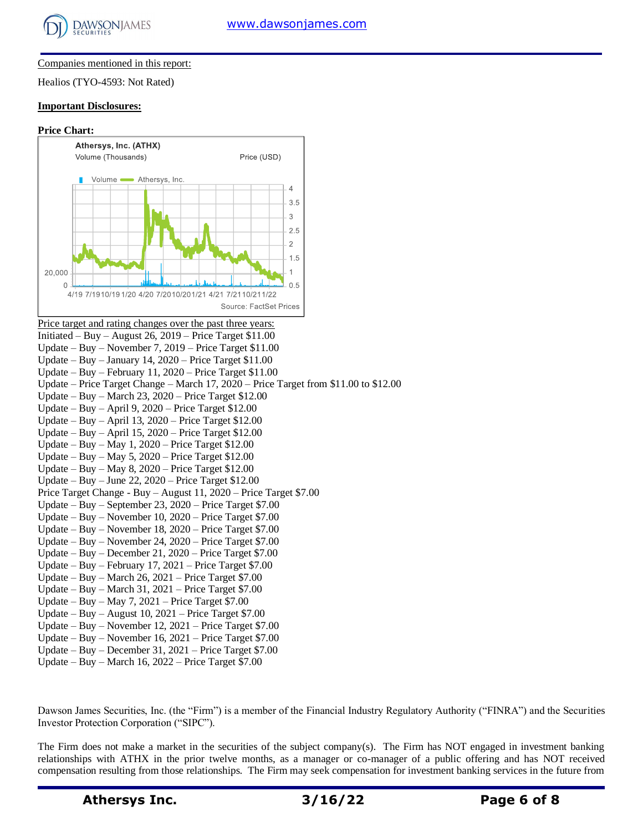

#### Companies mentioned in this report:

Healios (TYO-4593: Not Rated)

#### **Important Disclosures:**

#### **Price Chart:**



Price target and rating changes over the past three years: Initiated – Buy – August 26, 2019 – Price Target \$11.00 Update – Buy – November 7, 2019 – Price Target \$11.00 Update – Buy – January 14,  $2020$  – Price Target \$11.00 Update – Buy – February 11, 2020 – Price Target \$11.00 Update – Price Target Change – March 17, 2020 – Price Target from \$11.00 to \$12.00 Update – Buy – March 23, 2020 – Price Target \$12.00 Update – Buy – April 9, 2020 – Price Target \$12.00 Update – Buy – April 13, 2020 – Price Target \$12.00 Update – Buy – April 15, 2020 – Price Target \$12.00 Update – Buy – May 1, 2020 – Price Target \$12.00 Update – Buy – May 5, 2020 – Price Target \$12.00 Update – Buy – May 8, 2020 – Price Target \$12.00 Update – Buy – June 22, 2020 – Price Target \$12.00 Price Target Change - Buy – August 11, 2020 – Price Target \$7.00 Update – Buy – September 23, 2020 – Price Target \$7.00 Update – Buy – November 10, 2020 – Price Target \$7.00 Update – Buy – November 18, 2020 – Price Target \$7.00 Update – Buy – November 24, 2020 – Price Target \$7.00 Update – Buy – December 21, 2020 – Price Target \$7.00 Update – Buy – February 17, 2021 – Price Target \$7.00 Update – Buy – March 26, 2021 – Price Target \$7.00 Update – Buy – March 31, 2021 – Price Target \$7.00 Update – Buy – May 7, 2021 – Price Target \$7.00 Update – Buy – August 10, 2021 – Price Target \$7.00 Update – Buy – November 12, 2021 – Price Target \$7.00 Update – Buy – November 16, 2021 – Price Target \$7.00 Update – Buy – December 31, 2021 – Price Target \$7.00

Update – Buy – March 16, 2022 – Price Target \$7.00

Dawson James Securities, Inc. (the "Firm") is a member of the Financial Industry Regulatory Authority ("FINRA") and the Securities Investor Protection Corporation ("SIPC").

The Firm does not make a market in the securities of the subject company(s). The Firm has NOT engaged in investment banking relationships with ATHX in the prior twelve months, as a manager or co-manager of a public offering and has NOT received compensation resulting from those relationships. The Firm may seek compensation for investment banking services in the future from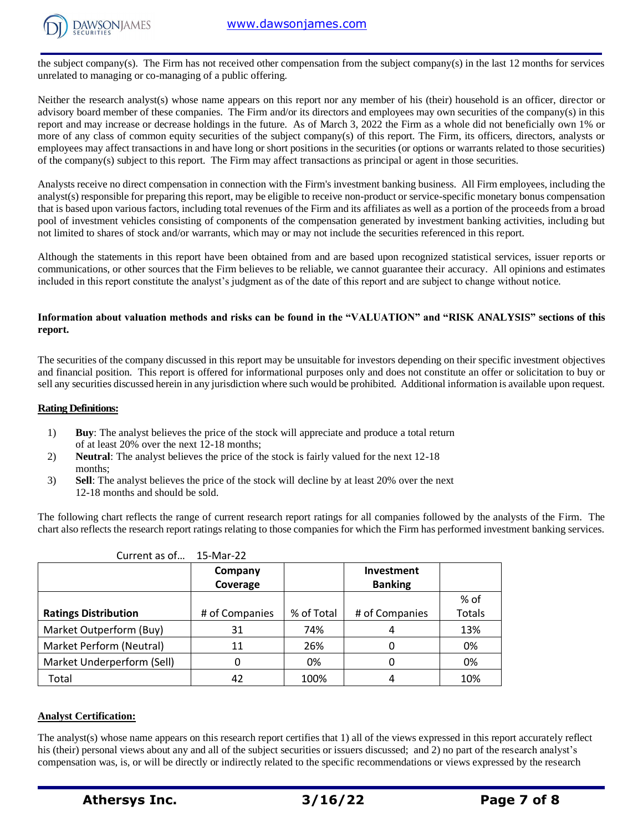

the subject company(s). The Firm has not received other compensation from the subject company(s) in the last 12 months for services unrelated to managing or co-managing of a public offering.

Neither the research analyst(s) whose name appears on this report nor any member of his (their) household is an officer, director or advisory board member of these companies. The Firm and/or its directors and employees may own securities of the company(s) in this report and may increase or decrease holdings in the future. As of March 3, 2022 the Firm as a whole did not beneficially own 1% or more of any class of common equity securities of the subject company(s) of this report. The Firm, its officers, directors, analysts or employees may affect transactions in and have long or short positions in the securities (or options or warrants related to those securities) of the company(s) subject to this report. The Firm may affect transactions as principal or agent in those securities.

Analysts receive no direct compensation in connection with the Firm's investment banking business. All Firm employees, including the analyst(s) responsible for preparing this report, may be eligible to receive non-product or service-specific monetary bonus compensation that is based upon various factors, including total revenues of the Firm and its affiliates as well as a portion of the proceeds from a broad pool of investment vehicles consisting of components of the compensation generated by investment banking activities, including but not limited to shares of stock and/or warrants, which may or may not include the securities referenced in this report.

Although the statements in this report have been obtained from and are based upon recognized statistical services, issuer reports or communications, or other sources that the Firm believes to be reliable, we cannot guarantee their accuracy. All opinions and estimates included in this report constitute the analyst's judgment as of the date of this report and are subject to change without notice.

#### **Information about valuation methods and risks can be found in the "VALUATION" and "RISK ANALYSIS" sections of this report.**

The securities of the company discussed in this report may be unsuitable for investors depending on their specific investment objectives and financial position. This report is offered for informational purposes only and does not constitute an offer or solicitation to buy or sell any securities discussed herein in any jurisdiction where such would be prohibited. Additional information is available upon request.

#### **Rating Definitions:**

- 1) **Buy**: The analyst believes the price of the stock will appreciate and produce a total return of at least 20% over the next 12-18 months;
- 2) **Neutral**: The analyst believes the price of the stock is fairly valued for the next 12-18 months;
- 3) **Sell**: The analyst believes the price of the stock will decline by at least 20% over the next 12-18 months and should be sold.

The following chart reflects the range of current research report ratings for all companies followed by the analysts of the Firm. The chart also reflects the research report ratings relating to those companies for which the Firm has performed investment banking services.

| Current as of               | 15-Mar-22      |            |                   |               |
|-----------------------------|----------------|------------|-------------------|---------------|
|                             | Company        |            | <b>Investment</b> |               |
|                             | Coverage       |            | <b>Banking</b>    |               |
|                             |                |            |                   | % of          |
| <b>Ratings Distribution</b> | # of Companies | % of Total | # of Companies    | <b>Totals</b> |
| Market Outperform (Buy)     | 31             | 74%        | 4                 | 13%           |
| Market Perform (Neutral)    | 11             | 26%        |                   | 0%            |
| Market Underperform (Sell)  | 0              | 0%         |                   | 0%            |
| Total                       | 42             | 100%       | 4                 | 10%           |

#### **Analyst Certification:**

The analyst(s) whose name appears on this research report certifies that 1) all of the views expressed in this report accurately reflect his (their) personal views about any and all of the subject securities or issuers discussed; and 2) no part of the research analyst's compensation was, is, or will be directly or indirectly related to the specific recommendations or views expressed by the research